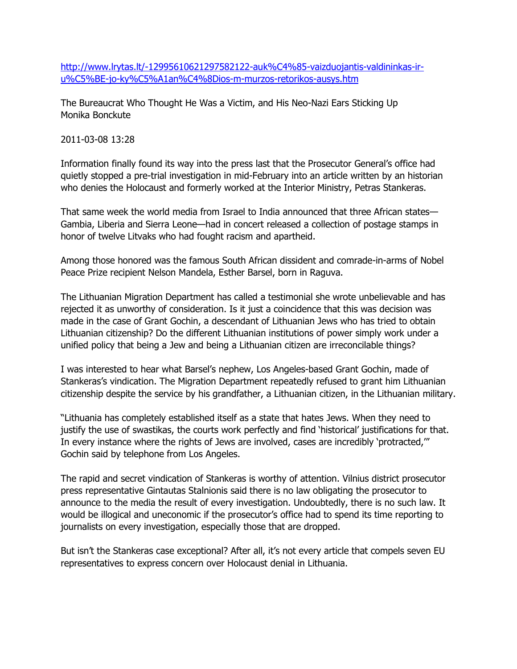[http://www.lrytas.lt/-12995610621297582122-auk%C4%85-vaizduojantis-valdininkas-ir](http://www.lrytas.lt/-12995610621297582122-auk%C4%85-vaizduojantis-valdininkas-ir-u%C5%BE-jo-ky%C5%A1an%C4%8Dios-m-murzos-retorikos-ausys.htm)[u%C5%BE-jo-ky%C5%A1an%C4%8Dios-m-murzos-retorikos-ausys.htm](http://www.lrytas.lt/-12995610621297582122-auk%C4%85-vaizduojantis-valdininkas-ir-u%C5%BE-jo-ky%C5%A1an%C4%8Dios-m-murzos-retorikos-ausys.htm)

The Bureaucrat Who Thought He Was a Victim, and His Neo-Nazi Ears Sticking Up Monika Bonckute

## 2011-03-08 13:28

Information finally found its way into the press last that the Prosecutor General's office had quietly stopped a pre-trial investigation in mid-February into an article written by an historian who denies the Holocaust and formerly worked at the Interior Ministry, Petras Stankeras.

That same week the world media from Israel to India announced that three African states— Gambia, Liberia and Sierra Leone—had in concert released a collection of postage stamps in honor of twelve Litvaks who had fought racism and apartheid.

Among those honored was the famous South African dissident and comrade-in-arms of Nobel Peace Prize recipient Nelson Mandela, Esther Barsel, born in Raguva.

The Lithuanian Migration Department has called a testimonial she wrote unbelievable and has rejected it as unworthy of consideration. Is it just a coincidence that this was decision was made in the case of Grant Gochin, a descendant of Lithuanian Jews who has tried to obtain Lithuanian citizenship? Do the different Lithuanian institutions of power simply work under a unified policy that being a Jew and being a Lithuanian citizen are irreconcilable things?

I was interested to hear what Barsel's nephew, Los Angeles-based Grant Gochin, made of Stankeras's vindication. The Migration Department repeatedly refused to grant him Lithuanian citizenship despite the service by his grandfather, a Lithuanian citizen, in the Lithuanian military.

"Lithuania has completely established itself as a state that hates Jews. When they need to justify the use of swastikas, the courts work perfectly and find 'historical' justifications for that. In every instance where the rights of Jews are involved, cases are incredibly 'protracted,'" Gochin said by telephone from Los Angeles.

The rapid and secret vindication of Stankeras is worthy of attention. Vilnius district prosecutor press representative Gintautas Stalnionis said there is no law obligating the prosecutor to announce to the media the result of every investigation. Undoubtedly, there is no such law. It would be illogical and uneconomic if the prosecutor's office had to spend its time reporting to journalists on every investigation, especially those that are dropped.

But isn't the Stankeras case exceptional? After all, it's not every article that compels seven EU representatives to express concern over Holocaust denial in Lithuania.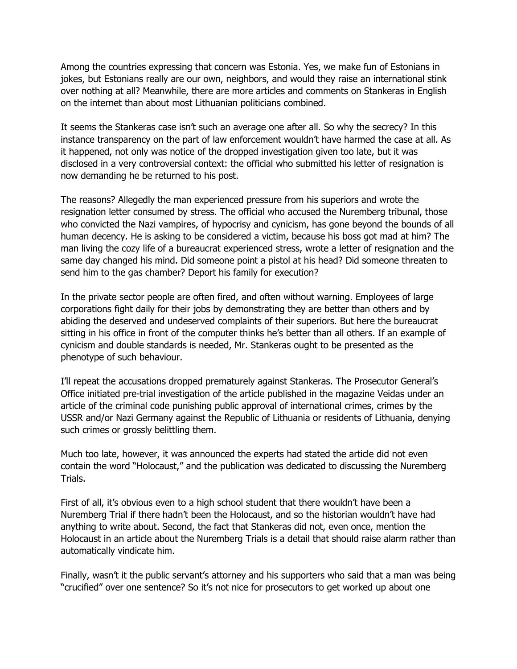Among the countries expressing that concern was Estonia. Yes, we make fun of Estonians in jokes, but Estonians really are our own, neighbors, and would they raise an international stink over nothing at all? Meanwhile, there are more articles and comments on Stankeras in English on the internet than about most Lithuanian politicians combined.

It seems the Stankeras case isn't such an average one after all. So why the secrecy? In this instance transparency on the part of law enforcement wouldn't have harmed the case at all. As it happened, not only was notice of the dropped investigation given too late, but it was disclosed in a very controversial context: the official who submitted his letter of resignation is now demanding he be returned to his post.

The reasons? Allegedly the man experienced pressure from his superiors and wrote the resignation letter consumed by stress. The official who accused the Nuremberg tribunal, those who convicted the Nazi vampires, of hypocrisy and cynicism, has gone beyond the bounds of all human decency. He is asking to be considered a victim, because his boss got mad at him? The man living the cozy life of a bureaucrat experienced stress, wrote a letter of resignation and the same day changed his mind. Did someone point a pistol at his head? Did someone threaten to send him to the gas chamber? Deport his family for execution?

In the private sector people are often fired, and often without warning. Employees of large corporations fight daily for their jobs by demonstrating they are better than others and by abiding the deserved and undeserved complaints of their superiors. But here the bureaucrat sitting in his office in front of the computer thinks he's better than all others. If an example of cynicism and double standards is needed, Mr. Stankeras ought to be presented as the phenotype of such behaviour.

I'll repeat the accusations dropped prematurely against Stankeras. The Prosecutor General's Office initiated pre-trial investigation of the article published in the magazine Veidas under an article of the criminal code punishing public approval of international crimes, crimes by the USSR and/or Nazi Germany against the Republic of Lithuania or residents of Lithuania, denying such crimes or grossly belittling them.

Much too late, however, it was announced the experts had stated the article did not even contain the word "Holocaust," and the publication was dedicated to discussing the Nuremberg Trials.

First of all, it's obvious even to a high school student that there wouldn't have been a Nuremberg Trial if there hadn't been the Holocaust, and so the historian wouldn't have had anything to write about. Second, the fact that Stankeras did not, even once, mention the Holocaust in an article about the Nuremberg Trials is a detail that should raise alarm rather than automatically vindicate him.

Finally, wasn't it the public servant's attorney and his supporters who said that a man was being "crucified" over one sentence? So it's not nice for prosecutors to get worked up about one